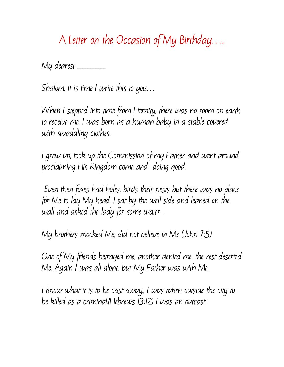**A Letter on the Occasion of My Birthday…..**

**My dearest \_\_\_\_\_\_\_\_\_\_\_**

**Shalom. It is time I write this to you…** 

**When I stepped into time from Eternity, there was no room on earth to receive me. I was born as a human baby in a stable covered with swaddling clothes.**

**I grew up, took up the Commission of my Father and went around proclaiming His Kingdom come and doing good.**

**Even then foxes had holes, birds their nests but there was no place for Me to lay My head. I sat by the well side and leaned on the wall and asked the lady for some water .**

**My brothers mocked Me, did not believe in Me (John 7:5)**

**One of My friends betrayed me, another denied me, the rest deserted Me. Again I was all alone, but My Father was with Me.**

**I know what it is to be cast away., I was taken outside the city to be killed as a criminal.(Hebrews 13:12) I was an outcast.**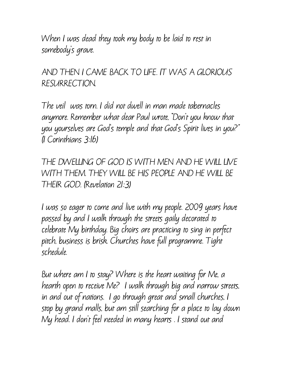**When I was dead they took my body to be laid to rest in somebody's grave.** 

**AND THEN I CAME BACK TO LIFE. IT WAS A GLORIOUS RESURRECTION.** 

**The veil was torn. I did not dwell in man made tabernacles anymore. Remember what dear Paul wrote, "Don't you know that you yourselves are God's temple and that God's Spirit lives in you?" (I Corinthians 3:16)**

**THE DWELLING OF GOD IS WITH MEN AND HE WILL LIVE WITH THEM. THEY WILL BE HIS PEOPLE AND HE WILL BE THEIR GOD. (Revelation 21:3)**

**I was so eager to come and live with my people. 2009 years have passed by and I walk through the streets gaily decorated to celebrate My birthday. Big choirs are practicing to sing in perfect pitch, business is brisk. Churches have full programme. Tight schedule.** 

**But where am I to stay? Where is the heart waiting for Me, a hearth open to receive Me? I walk through big and narrow streets, in and out of nations. I go through great and small churches, I stop by grand malls, but am still searching for a place to lay down My head. I don't feel needed in many hearts . I stand out and**